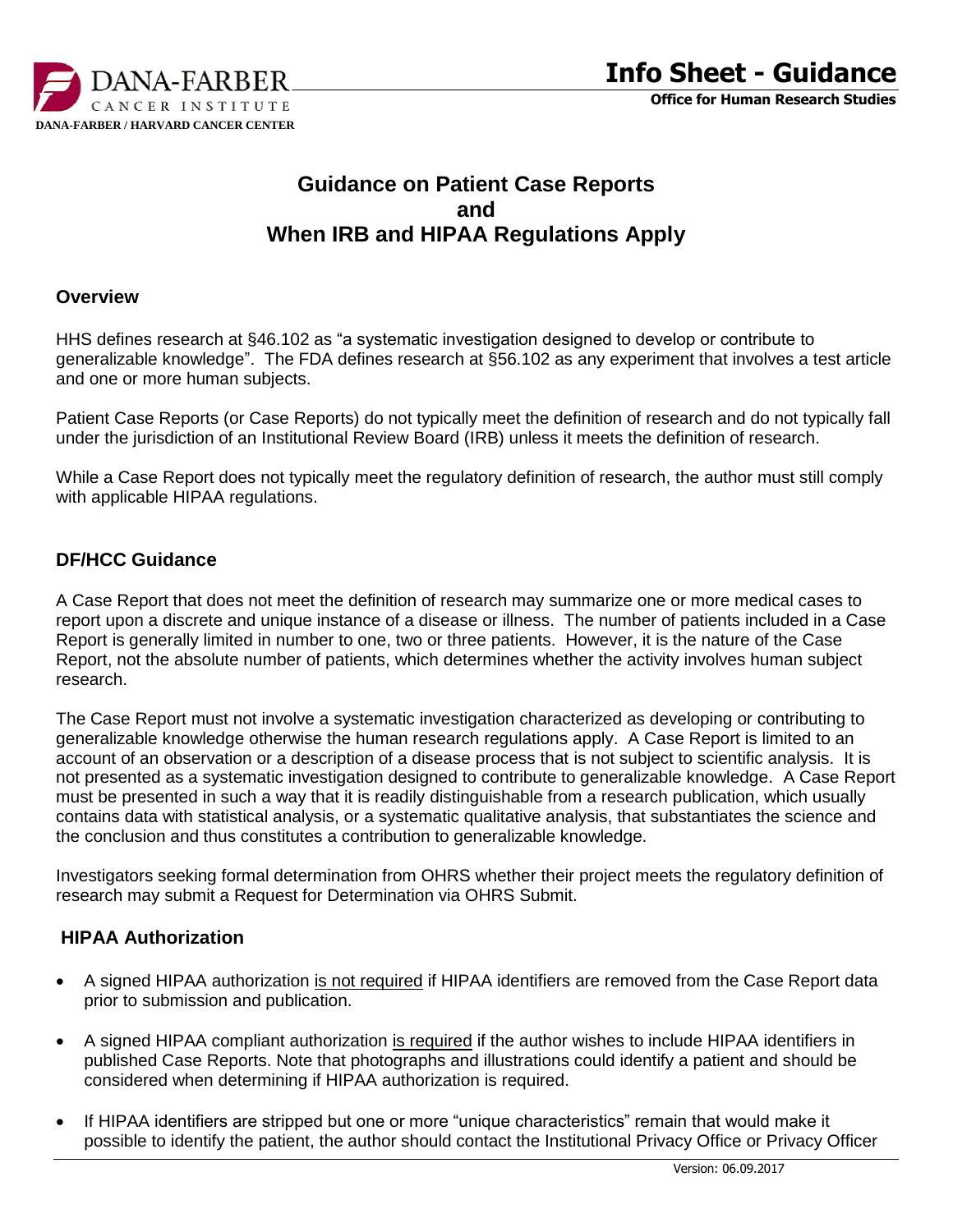

# **Guidance on Patient Case Reports and When IRB and HIPAA Regulations Apply**

#### **Overview**

HHS defines research at §46.102 as "a systematic investigation designed to develop or contribute to generalizable knowledge". The FDA defines research at §56.102 as any experiment that involves a test article and one or more human subjects.

Patient Case Reports (or Case Reports) do not typically meet the definition of research and do not typically fall under the jurisdiction of an Institutional Review Board (IRB) unless it meets the definition of research.

While a Case Report does not typically meet the regulatory definition of research, the author must still comply with applicable HIPAA regulations.

# **DF/HCC Guidance**

A Case Report that does not meet the definition of research may summarize one or more medical cases to report upon a discrete and unique instance of a disease or illness. The number of patients included in a Case Report is generally limited in number to one, two or three patients. However, it is the nature of the Case Report, not the absolute number of patients, which determines whether the activity involves human subject research.

The Case Report must not involve a systematic investigation characterized as developing or contributing to generalizable knowledge otherwise the human research regulations apply. A Case Report is limited to an account of an observation or a description of a disease process that is not subject to scientific analysis. It is not presented as a systematic investigation designed to contribute to generalizable knowledge. A Case Report must be presented in such a way that it is readily distinguishable from a research publication, which usually contains data with statistical analysis, or a systematic qualitative analysis, that substantiates the science and the conclusion and thus constitutes a contribution to generalizable knowledge.

Investigators seeking formal determination from OHRS whether their project meets the regulatory definition of research may submit a Request for Determination via OHRS Submit.

### **HIPAA Authorization**

- A signed HIPAA authorization is not required if HIPAA identifiers are removed from the Case Report data prior to submission and publication.
- A signed HIPAA compliant authorization is required if the author wishes to include HIPAA identifiers in published Case Reports. Note that photographs and illustrations could identify a patient and should be considered when determining if HIPAA authorization is required.
- If HIPAA identifiers are stripped but one or more "unique characteristics" remain that would make it possible to identify the patient, the author should contact the Institutional Privacy Office or Privacy Officer